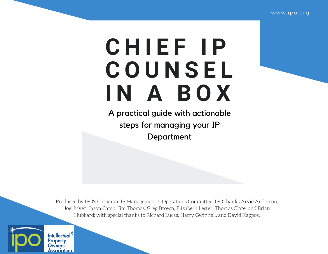# **C H I E F I P C O U N S E L I N A B O X**

A practical guide with actionable steps for managing your IP Department

Produced by IPO's Corporate IP Management & Operations Committee. IPO thanks Arvie Anderson, Joel Myer, Jason Camp, Jim Thomas, Greg Brown, Elizabeth Lester, Thomas Clare, and Brian Hubbard; with special thanks to Richard Lucas, Harry Gwinnell, and David Kappos.

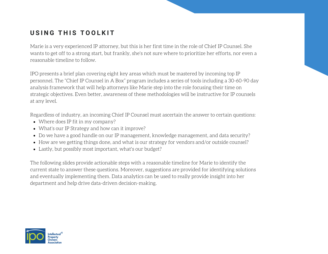#### **U S I N G T H I S T O O L K I T**

Marie is a very experienced IP attorney, but this is her first time in the role of Chief IP Counsel. She wants to get off to a strong start, but frankly, she's not sure where to prioritize her efforts, nor even a reasonable timeline to follow.

IPO presents a brief plan covering eight key areas which must be mastered by incoming top IP personnel. The "Chief IP Counsel in A Box" program includes a series of tools including a 30-60-90 day analysis framework that will help attorneys like Marie step into the role focusing their time on strategic objectives. Even better, awareness of these methodologies will be instructive for IP counsels at any level.

Regardless of industry, an incoming Chief IP Counsel must ascertain the answer to certain questions:

- Where does IP fit in my company?
- What's our IP Strategy and how can it improve?
- Do we have a good handle on our IP management, knowledge management, and data security?
- How are we getting things done, and what is our strategy for vendors and/or outside counsel?
- Lastly, but possibly most important, what's our budget?

The following slides provide actionable steps with a reasonable timeline for Marie to identify the current state to answer these questions. Moreover, suggestions are provided for identifying solutions and eventually implementing them. Data analytics can be used to really provide insight into her department and help drive data-driven decision-making.

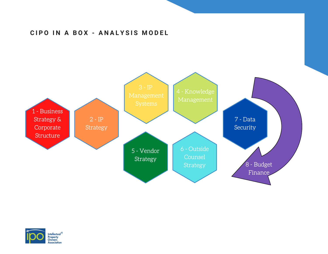#### **C I P O I N A B O X - A N A L Y S I S M O D E L**



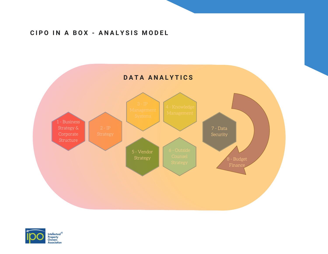#### **C I P O I N A B O X - A N A L Y S I S M O D E L**



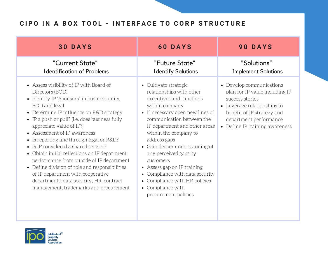## CIPO IN A BOX TOOL - INTERFACE TO CORP STRUCTURE

| <b>30 DAYS</b>                                                                                                                                                                                                                                                                                                                                                                                                                                                                                                                                                                                                                                                  | <b>60 DAYS</b>                                                                                                                                                                                                                                                                                                                                                                                                                                                     | 90 DAYS                                                                                                                                                                                                |
|-----------------------------------------------------------------------------------------------------------------------------------------------------------------------------------------------------------------------------------------------------------------------------------------------------------------------------------------------------------------------------------------------------------------------------------------------------------------------------------------------------------------------------------------------------------------------------------------------------------------------------------------------------------------|--------------------------------------------------------------------------------------------------------------------------------------------------------------------------------------------------------------------------------------------------------------------------------------------------------------------------------------------------------------------------------------------------------------------------------------------------------------------|--------------------------------------------------------------------------------------------------------------------------------------------------------------------------------------------------------|
| "Current State"<br><b>Identification of Problems</b>                                                                                                                                                                                                                                                                                                                                                                                                                                                                                                                                                                                                            | "Future State"<br><b>Identify Solutions</b>                                                                                                                                                                                                                                                                                                                                                                                                                        | "Solutions"<br><b>Implement Solutions</b>                                                                                                                                                              |
| • Assess visibility of IP with Board of<br>Directors (BOD)<br>• Identify IP "Sponsors" in business units,<br>BOD and legal<br>• Determine IP influence on R&D strategy<br>• IP a push or pull? (i.e. does business fully<br>appreciate value of IP?)<br>• Assessment of IP awareness<br>• Is reporting line through legal or $R&D$ ?<br>$\bullet$ Is IP considered a shared service?<br>• Obtain initial reflections on IP department<br>performance from outside of IP department<br>• Define division of role and responsibilities<br>of IP department with cooperative<br>departments: data security, HR, contract<br>management, trademarks and procurement | • Cultivate strategic<br>relationships with other<br>executives and functions<br>within company<br>• If necessary open new lines of<br>communication between the<br>IP department and other areas<br>within the company to<br>address gaps<br>• Gain deeper understanding of<br>any perceived gaps by<br>customers<br>• Assess gap on IP training<br>• Compliance with data security<br>• Compliance with HR policies<br>• Compliance with<br>procurement policies | • Develop communications<br>plan for IP value including IP<br>success stories<br>• Leverage relationships to<br>benefit of IP strategy and<br>department performance<br>• Define IP training awareness |

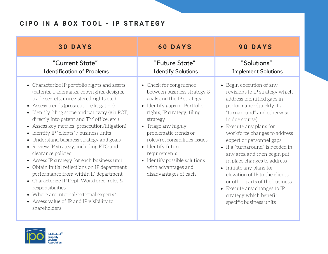## **C I P O I N A B O X T O O L - I P S T R A T E G Y**

| <b>30 DAYS</b>                                                                                                                                                                                                                                                                                                                                                                                                                                                                                                                                                                                                                                                                                                                                                                                                           | <b>60 DAYS</b>                                                                                                                                                                                                                                                                                                                                                        | <b>90 DAYS</b>                                                                                                                                                                                                                                                                                                                                                                                                                                                                                                                                     |
|--------------------------------------------------------------------------------------------------------------------------------------------------------------------------------------------------------------------------------------------------------------------------------------------------------------------------------------------------------------------------------------------------------------------------------------------------------------------------------------------------------------------------------------------------------------------------------------------------------------------------------------------------------------------------------------------------------------------------------------------------------------------------------------------------------------------------|-----------------------------------------------------------------------------------------------------------------------------------------------------------------------------------------------------------------------------------------------------------------------------------------------------------------------------------------------------------------------|----------------------------------------------------------------------------------------------------------------------------------------------------------------------------------------------------------------------------------------------------------------------------------------------------------------------------------------------------------------------------------------------------------------------------------------------------------------------------------------------------------------------------------------------------|
| "Current State"<br><b>Identification of Problems</b>                                                                                                                                                                                                                                                                                                                                                                                                                                                                                                                                                                                                                                                                                                                                                                     | "Future State"<br><b>Identify Solutions</b>                                                                                                                                                                                                                                                                                                                           | "Solutions"<br><b>Implement Solutions</b>                                                                                                                                                                                                                                                                                                                                                                                                                                                                                                          |
| • Characterize IP portfolio rights and assets<br>(patents, trademarks, copyrights, designs,<br>trade secrets, unregistered rights etc.)<br>• Assess trends (prosecution/litigation)<br>• Identify filing scope and pathway (via PCT,<br>directly into patent and TM office, etc.)<br>Assess key metrics (prosecution/litigation)<br>$\bullet$<br>• Identify IP "clients" / business units<br>• Understand business strategy and goals<br>• Review IP strategy, including FTO and<br>clearance policies<br>• Assess IP strategy for each business unit<br>• Obtain initial reflections on IP department<br>performance from within IP department<br>• Characterize IP Dept. Workforce, roles &<br>responsibilities<br>• Where are internal/external experts?<br>• Assess value of IP and IP visibility to<br>shareholders | • Check for congruence<br>between business strategy &<br>goals and the IP strategy<br>• Identify gaps in: Portfolio<br>rights; IP strategy; filing<br>strategy<br>• Triage any highly<br>problematic trends or<br>roles/responsibilities issues<br>• Identify future<br>requirements<br>• Identify possible solutions<br>with advantages and<br>disadvantages of each | • Begin execution of any<br>revisions to IP strategy which<br>address identified gaps in<br>performance (quickly if a<br>"turnaround" and otherwise<br>in due course)<br>• Execute any plans for<br>workforce changes to address<br>expert or personnel gaps<br>• If a "turnaround" is needed in<br>any area and then begin put<br>in place changes to address<br>• Initiate any plans for<br>elevation of IP to the clients<br>or other parts of the business<br>• Execute any changes to IP<br>strategy which benefit<br>specific business units |

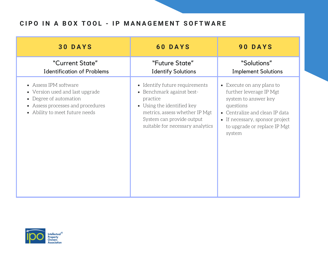# CIPO IN A BOX TOOL - IP MANAGEMENT SOFTWARE

| <b>30 DAYS</b>                                                                                                                                          | <b>60 DAYS</b>                                                                                                                                                                                           | <b>90 DAYS</b>                                                                                                                                                                                           |
|---------------------------------------------------------------------------------------------------------------------------------------------------------|----------------------------------------------------------------------------------------------------------------------------------------------------------------------------------------------------------|----------------------------------------------------------------------------------------------------------------------------------------------------------------------------------------------------------|
| "Current State"<br><b>Identification of Problems</b>                                                                                                    | "Future State"<br><b>Identify Solutions</b>                                                                                                                                                              | "Solutions"<br><b>Implement Solutions</b>                                                                                                                                                                |
| • Assess IPM software<br>• Version used and last upgrade<br>Degree of automation<br>• Assess processes and procedures<br>• Ability to meet future needs | • Identify future requirements<br>• Benchmark against best-<br>practice<br>• Using the identified key<br>metrics, assess whether IP Mgt<br>System can provide output<br>suitable for necessary analytics | • Execute on any plans to<br>further leverage IP Mgt<br>system to answer key<br>questions<br>• Centralize and clean IP data<br>• If necessary, sponsor project<br>to upgrade or replace IP Mgt<br>system |

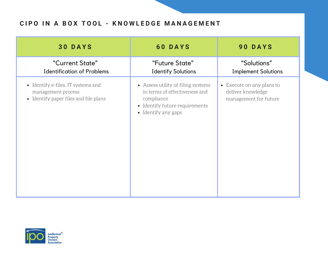#### CIPO IN A BOX TOOL - KNOWLEDGE MANAGEMENT

| <b>30 DAYS</b>                                                                                    | <b>60 DAYS</b>                                                                                                                             | 90 DAYS                                                                 |
|---------------------------------------------------------------------------------------------------|--------------------------------------------------------------------------------------------------------------------------------------------|-------------------------------------------------------------------------|
| "Current State"<br><b>Identification of Problems</b>                                              | "Future State"<br><b>Identify Solutions</b>                                                                                                | "Solutions"<br><b>Implement Solutions</b>                               |
| • Identify e-files, IT systems and<br>management process<br>• Identify paper files and file plans | • Assess utility of filing systems<br>in terms of effectiveness and<br>compliance<br>• Identify future requirements<br>• Identify any gaps | • Execute on any plans to<br>deliver knowledge<br>management for future |

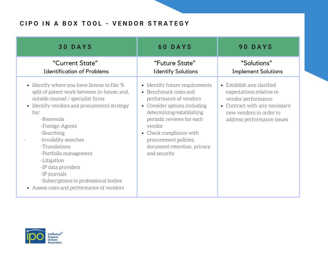## CIPO IN A BOX TOOL - VENDOR STRATEGY

| <b>30 DAYS</b>                                                                                                                                                                                                                                                                                                                                                                                                                                      | <b>60 DAYS</b>                                                                                                                                                                                                                                                                                     | 90 DAYS                                                                                                                                                               |
|-----------------------------------------------------------------------------------------------------------------------------------------------------------------------------------------------------------------------------------------------------------------------------------------------------------------------------------------------------------------------------------------------------------------------------------------------------|----------------------------------------------------------------------------------------------------------------------------------------------------------------------------------------------------------------------------------------------------------------------------------------------------|-----------------------------------------------------------------------------------------------------------------------------------------------------------------------|
| "Current State"<br><b>Identification of Problems</b>                                                                                                                                                                                                                                                                                                                                                                                                | "Future State"<br><b>Identify Solutions</b>                                                                                                                                                                                                                                                        | "Solutions"<br><b>Implement Solutions</b>                                                                                                                             |
| • Identify where you have license to file; %<br>split of patent work between in-house; and,<br>outside counsel / specialist firms<br>• Identify vendors and procurement strategy<br>for:<br>-Renewals<br>-Foreign Agents<br>-Searching<br>-Invalidity searches<br>-Translations<br>-Portfolio management<br>-Litigation<br>-IP data providers<br>-IP journals<br>-Subscriptions to professional bodies<br>• Assess costs and performance of vendors | Identify future requirements<br>$\bullet$<br>• Benchmark costs and<br>performance of vendors<br>• Consider options including<br>determining/establishing<br>periodic reviews for each<br>vendor<br>• Check compliance with<br>procurement policies,<br>document retention, privacy<br>and security | • Establish any clarified<br>expectations relative to<br>vendor performance<br>• Contract with any necessary<br>new vendors in order to<br>address performance issues |

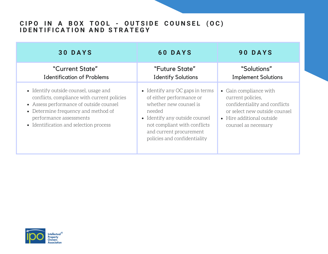#### CIPO IN A BOX TOOL - OUTSIDE COUNSEL (OC) **I D E N T I F I C A T I O N A N D S T R A T E G Y**

| <b>30 DAYS</b>                                                                                                                                                                                                                              | <b>60 DAYS</b>                                                                                                                                                                                                                 | 90 DAYS                                                                                                                                                            |
|---------------------------------------------------------------------------------------------------------------------------------------------------------------------------------------------------------------------------------------------|--------------------------------------------------------------------------------------------------------------------------------------------------------------------------------------------------------------------------------|--------------------------------------------------------------------------------------------------------------------------------------------------------------------|
| "Current State"<br><b>Identification of Problems</b>                                                                                                                                                                                        | "Future State"<br><b>Identify Solutions</b>                                                                                                                                                                                    | "Solutions"<br><b>Implement Solutions</b>                                                                                                                          |
| • Identify outside counsel, usage and<br>conflicts, compliance with current policies<br>• Assess performance of outside counsel<br>• Determine frequency and method of<br>performance assessments<br>• Identification and selection process | • Identify any $OC$ gaps in terms<br>of either performance or<br>whether new counsel is<br>needed<br>• Identify any outside counsel<br>not compliant with conflicts<br>and current procurement<br>policies and confidentiality | • Gain compliance with<br>current policies,<br>confidentiality and conflicts<br>or select new outside counsel<br>• Hire additional outside<br>counsel as necessary |

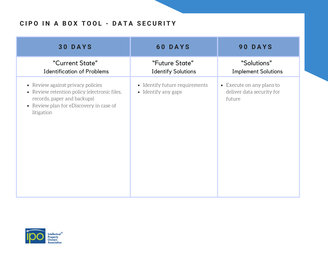## CIPO IN A BOX TOOL - DATA SECURITY

| <b>30 DAYS</b>                                                                                                                                                            | <b>60 DAYS</b>                                        | <b>90 DAYS</b>                                                   |
|---------------------------------------------------------------------------------------------------------------------------------------------------------------------------|-------------------------------------------------------|------------------------------------------------------------------|
| "Current State"<br><b>Identification of Problems</b>                                                                                                                      | "Future State"<br><b>Identify Solutions</b>           | "Solutions"<br><b>Implement Solutions</b>                        |
| • Review against privacy policies<br>• Review retention policy (electronic files,<br>records, paper and backups)<br>• Review plan for eDiscovery in case of<br>litigation | • Identify future requirements<br>• Identify any gaps | • Execute on any plans to<br>deliver data security for<br>future |

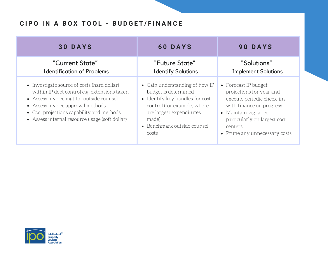## CIPO IN A BOX TOOL - BUDGET/FINANCE

| <b>30 DAYS</b>                                                                                                                                                                                                                                                              | <b>60 DAYS</b>                                                                                                                                                                                        | 90 DAYS                                                                                                                                                                                                        |
|-----------------------------------------------------------------------------------------------------------------------------------------------------------------------------------------------------------------------------------------------------------------------------|-------------------------------------------------------------------------------------------------------------------------------------------------------------------------------------------------------|----------------------------------------------------------------------------------------------------------------------------------------------------------------------------------------------------------------|
| "Current State"<br><b>Identification of Problems</b>                                                                                                                                                                                                                        | "Future State"<br><b>Identify Solutions</b>                                                                                                                                                           | "Solutions"<br><b>Implement Solutions</b>                                                                                                                                                                      |
| • Investigate source of costs (hard dollar)<br>within IP dept control e.g. extensions taken<br>• Assess invoice mgt for outside counsel<br>• Assess invoice approval methods<br>• Cost projections capability and methods<br>• Assess internal resource usage (soft dollar) | • Gain understanding of how IP<br>budget is determined<br>• Identify key handles for cost<br>control (for example, where<br>are largest expenditures<br>made)<br>• Benchmark outside counsel<br>costs | • Forecast IP budget<br>projections for year and<br>execute periodic check-ins<br>with finance on progress<br>• Maintain vigilance<br>particularly on largest cost<br>centers<br>• Prune any unnecessary costs |

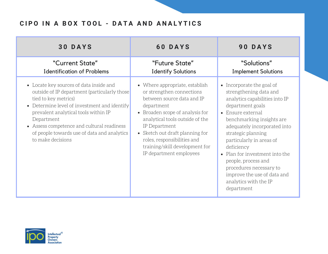# CIPO IN A BOX TOOL - DATA AND ANALYTICS

| <b>30 DAYS</b>                                                                                                                                                                                                                                                                                                                           | <b>60 DAYS</b>                                                                                                                                                                                                                                                                                                                | <b>90 DAYS</b>                                                                                                                                                                                                                                                                                                                                                                                                        |
|------------------------------------------------------------------------------------------------------------------------------------------------------------------------------------------------------------------------------------------------------------------------------------------------------------------------------------------|-------------------------------------------------------------------------------------------------------------------------------------------------------------------------------------------------------------------------------------------------------------------------------------------------------------------------------|-----------------------------------------------------------------------------------------------------------------------------------------------------------------------------------------------------------------------------------------------------------------------------------------------------------------------------------------------------------------------------------------------------------------------|
| "Current State"<br><b>Identification of Problems</b>                                                                                                                                                                                                                                                                                     | "Future State"<br><b>Identify Solutions</b>                                                                                                                                                                                                                                                                                   | "Solutions"<br><b>Implement Solutions</b>                                                                                                                                                                                                                                                                                                                                                                             |
| • Locate key sources of data inside and<br>outside of IP department (particularly those)<br>tied to key metrics)<br>• Determine level of investment and identify<br>prevalent analytical tools within IP<br>Department<br>• Assess competence and cultural readiness<br>of people towards use of data and analytics<br>to make decisions | • Where appropriate, establish<br>or strengthen connections<br>between source data and IP<br>department<br>• Broaden scope of analysis for<br>analytical tools outside of the<br>IP Department<br>• Sketch out draft planning for<br>roles, responsibilities and<br>training/skill development for<br>IP department employees | • Incorporate the goal of<br>strengthening data and<br>analytics capabilities into IP<br>department goals<br>• Ensure external<br>benchmarking insights are<br>adequately incorporated into<br>strategic planning<br>particularly in areas of<br>deficiency<br>• Plan for investment into the<br>people, process and<br>procedures necessary to<br>improve the use of data and<br>analytics with the IP<br>department |